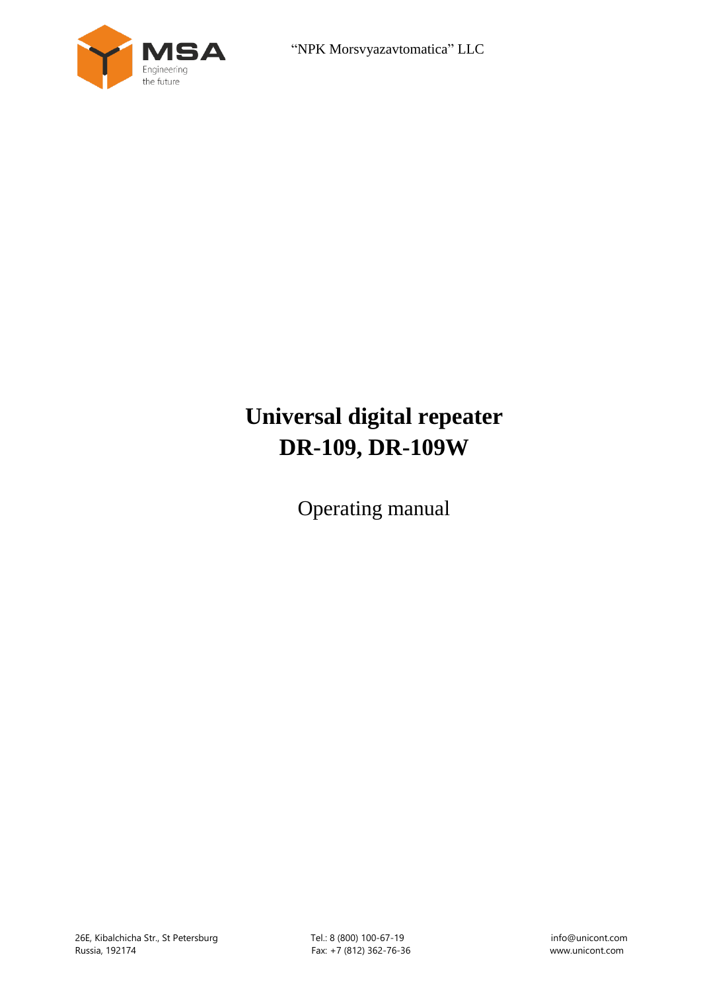



# **Universal digital repeater DR-109, DR-109W**

Operating manual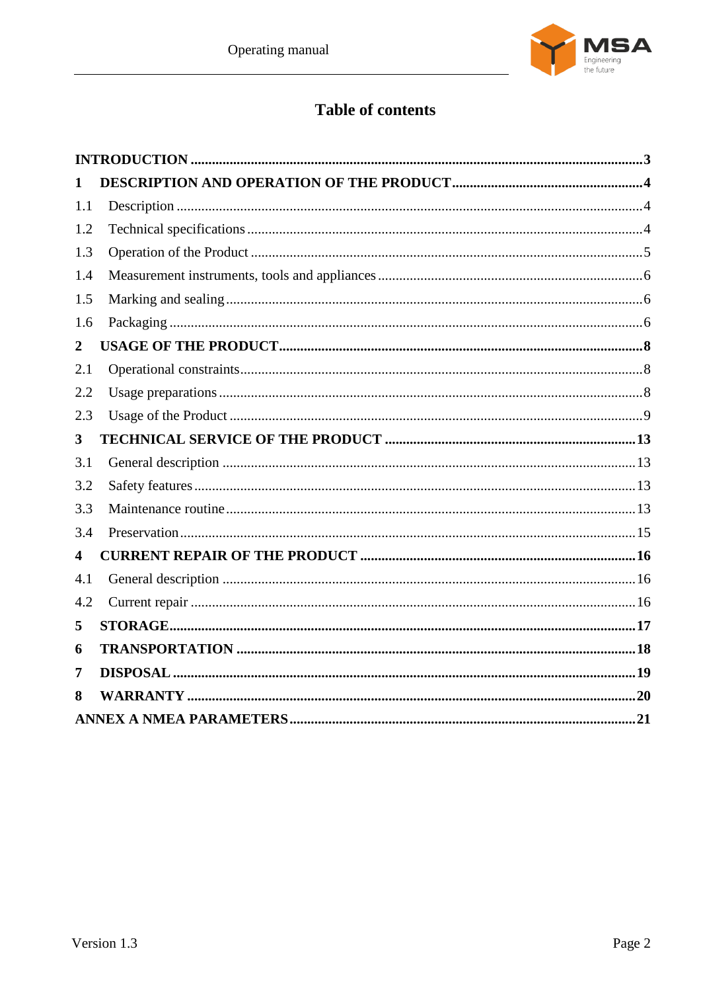

# **Table of contents**

| 1   |  |
|-----|--|
| 1.1 |  |
| 1.2 |  |
| 1.3 |  |
| 1.4 |  |
| 1.5 |  |
| 1.6 |  |
| 2   |  |
| 2.1 |  |
| 2.2 |  |
| 2.3 |  |
| 3   |  |
| 3.1 |  |
| 3.2 |  |
| 3.3 |  |
| 3.4 |  |
| 4   |  |
| 4.1 |  |
| 4.2 |  |
| 5   |  |
| 6   |  |
| 7   |  |
| 8   |  |
|     |  |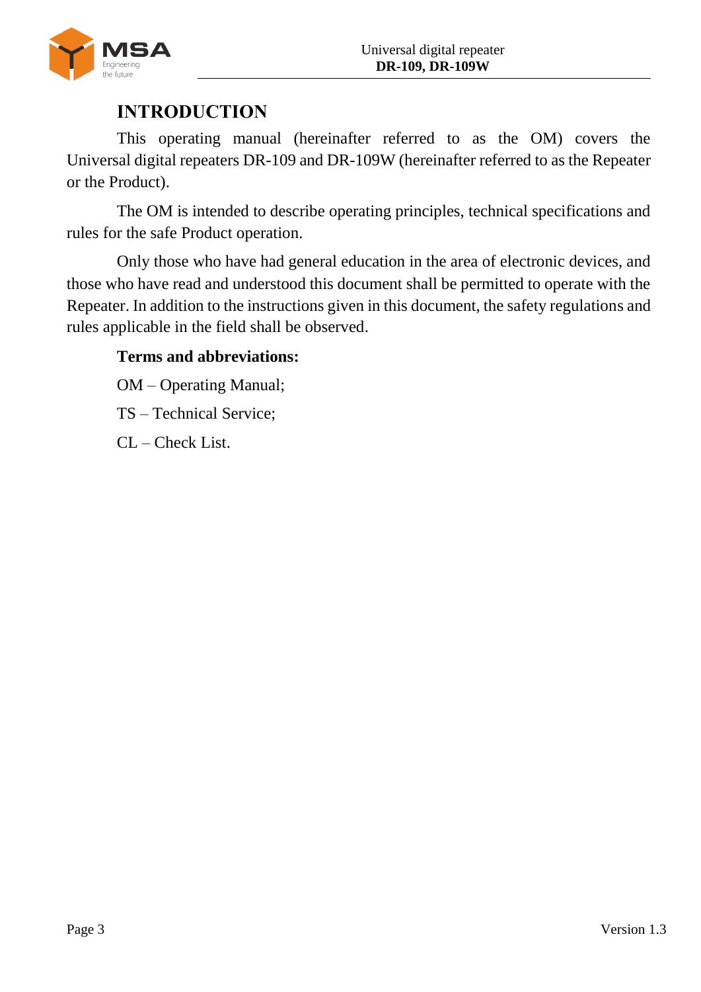

# **INTRODUCTION**

<span id="page-2-0"></span>This operating manual (hereinafter referred to as the OM) covers the Universal digital repeaters DR-109 and DR-109W (hereinafter referred to as the Repeater or the Product).

The OM is intended to describe operating principles, technical specifications and rules for the safe Product operation.

Only those who have had general education in the area of electronic devices, and those who have read and understood this document shall be permitted to operate with the Repeater. In addition to the instructions given in this document, the safety regulations and rules applicable in the field shall be observed.

# **Terms and abbreviations:**

OM – Operating Manual;

TS – Technical Service;

CL – Check List.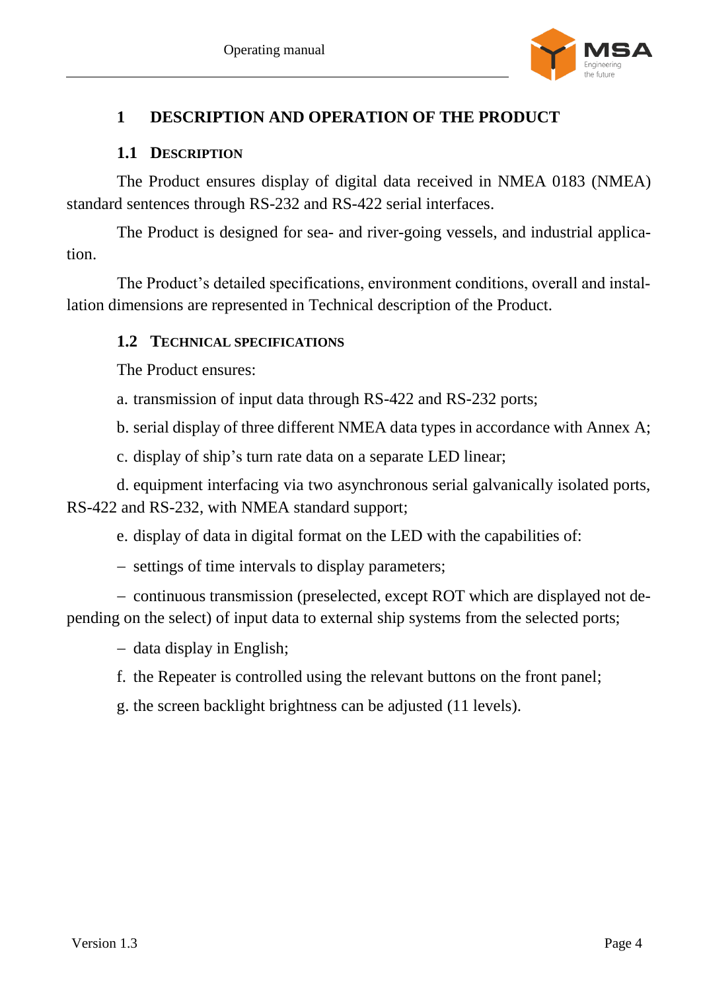

## <span id="page-3-0"></span>**1 DESCRIPTION AND OPERATION OF THE PRODUCT**

## **1.1 DESCRIPTION**

<span id="page-3-1"></span>The Product ensures display of digital data received in NMEA 0183 (NMEA) standard sentences through RS-232 and RS-422 serial interfaces.

The Product is designed for sea- and river-going vessels, and industrial application.

<span id="page-3-2"></span>The Product's detailed specifications, environment conditions, overall and installation dimensions are represented in Technical description of the Product.

## **1.2 TECHNICAL SPECIFICATIONS**

The Product ensures:

a. transmission of input data through RS-422 and RS-232 ports;

b. serial display of three different NMEA data types in accordance with Annex A;

c. display of ship's turn rate data on a separate LED linear;

d. equipment interfacing via two asynchronous serial galvanically isolated ports, RS-422 and RS-232, with NMEA standard support;

e. display of data in digital format on the LED with the capabilities of:

- settings of time intervals to display parameters;

- continuous transmission (preselected, except ROT which are displayed not depending on the select) of input data to external ship systems from the selected ports;

 $-$  data display in English;

f. the Repeater is controlled using the relevant buttons on the front panel;

g. the screen backlight brightness can be adjusted (11 levels).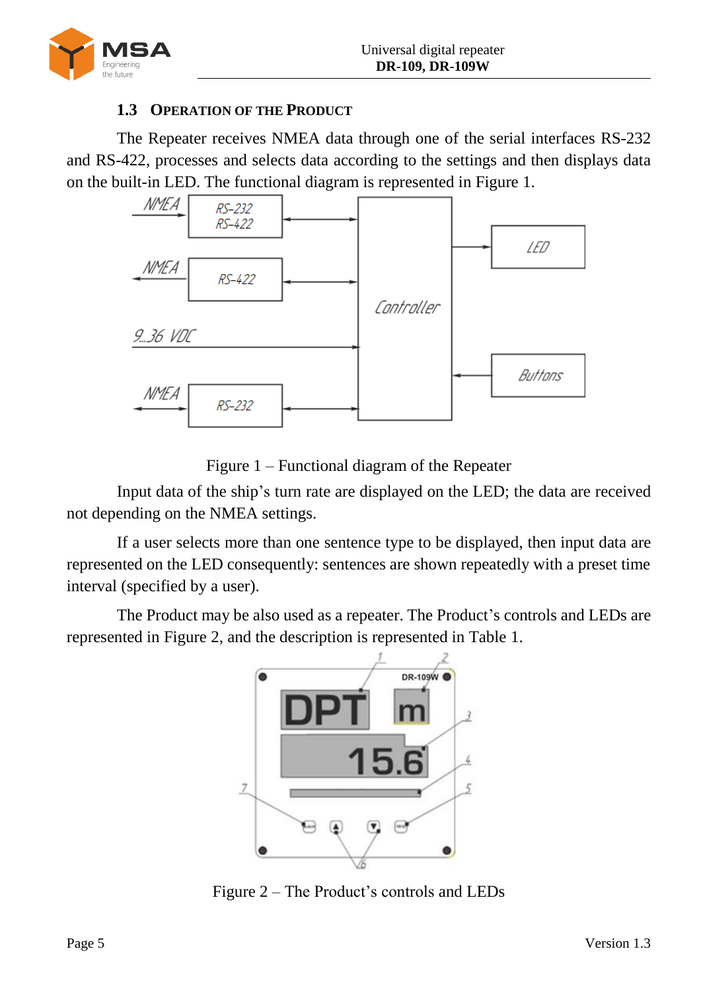

## **1.3 OPERATION OF THE PRODUCT**

<span id="page-4-0"></span>The Repeater receives NMEA data through one of the serial interfaces RS-232 and RS-422, processes and selects data according to the settings and then displays data on the built-in LED. The functional diagram is represented in Figure [1.](#page-4-1)



Figure 1 – Functional diagram of the Repeater

<span id="page-4-1"></span>Input data of the ship's turn rate are displayed on the LED; the data are received not depending on the NMEA settings.

If a user selects more than one sentence type to be displayed, then input data are represented on the LED consequently: sentences are shown repeatedly with a preset time interval (specified by a user).

<span id="page-4-2"></span>The Product may be also used as a repeater. The Product's controls and LEDs are represented in Figure [2,](#page-4-2) and the description is represented in Table [1.](#page-5-3)



Figure 2 – The Product's controls and LEDs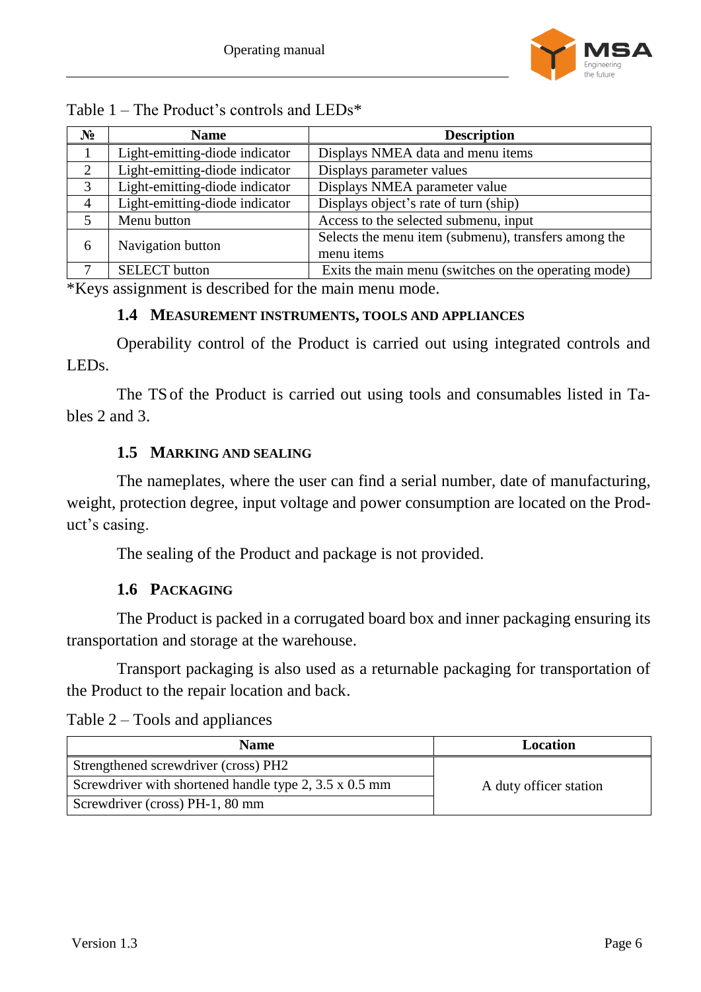

<span id="page-5-3"></span>

|  |  | Table $1$ – The Product's controls and LEDs* |  |
|--|--|----------------------------------------------|--|
|  |  |                                              |  |

| $N_2$          | <b>Name</b>                    | <b>Description</b>                                                 |
|----------------|--------------------------------|--------------------------------------------------------------------|
|                | Light-emitting-diode indicator | Displays NMEA data and menu items                                  |
| 2              | Light-emitting-diode indicator | Displays parameter values                                          |
| 3              | Light-emitting-diode indicator | Displays NMEA parameter value                                      |
| $\overline{4}$ | Light-emitting-diode indicator | Displays object's rate of turn (ship)                              |
| 5              | Menu button                    | Access to the selected submenu, input                              |
| 6              | Navigation button              | Selects the menu item (submenu), transfers among the<br>menu items |
| 7              | <b>SELECT</b> button           | Exits the main menu (switches on the operating mode)               |

<span id="page-5-0"></span>\*Keys assignment is described for the main menu mode.

#### **1.4 MEASUREMENT INSTRUMENTS, TOOLS AND APPLIANCES**

Operability control of the Product is carried out using integrated controls and LEDs.

<span id="page-5-1"></span>The TSof the Product is carried out using tools and consumables listed in Tables [2](#page-5-4) and [3.](#page-6-0)

## **1.5 MARKING AND SEALING**

The nameplates, where the user can find a serial number, date of manufacturing, weight, protection degree, input voltage and power consumption are located on the Product's casing.

The sealing of the Product and package is not provided.

# **1.6 PACKAGING**

<span id="page-5-2"></span>The Product is packed in a corrugated board box and inner packaging ensuring its transportation and storage at the warehouse.

Transport packaging is also used as a returnable packaging for transportation of the Product to the repair location and back.

<span id="page-5-4"></span>Table 2 – Tools and appliances

| <b>Name</b>                                                   | Location               |
|---------------------------------------------------------------|------------------------|
| Strengthened screwdriver (cross) PH2                          |                        |
| Screwdriver with shortened handle type 2, $3.5 \times 0.5$ mm | A duty officer station |
| Screwdriver (cross) PH-1, 80 mm                               |                        |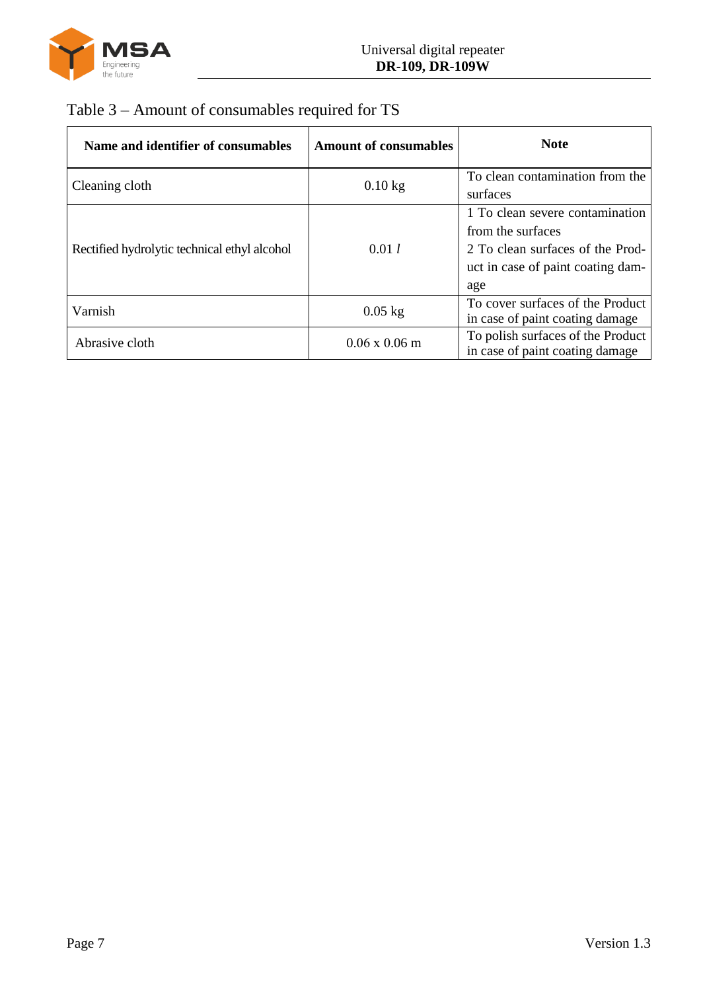

# <span id="page-6-0"></span>Table 3 – Amount of consumables required for TS

| Name and identifier of consumables           | <b>Amount of consumables</b> | <b>Note</b>                                                                                                                          |
|----------------------------------------------|------------------------------|--------------------------------------------------------------------------------------------------------------------------------------|
| Cleaning cloth                               | $0.10$ kg                    | To clean contamination from the<br>surfaces                                                                                          |
| Rectified hydrolytic technical ethyl alcohol | 0.01 l                       | 1 To clean severe contamination<br>from the surfaces<br>2 To clean surfaces of the Prod-<br>uct in case of paint coating dam-<br>age |
| Varnish                                      | $0.05$ kg                    | To cover surfaces of the Product<br>in case of paint coating damage                                                                  |
| Abrasive cloth                               | $0.06 \times 0.06$ m         | To polish surfaces of the Product<br>in case of paint coating damage                                                                 |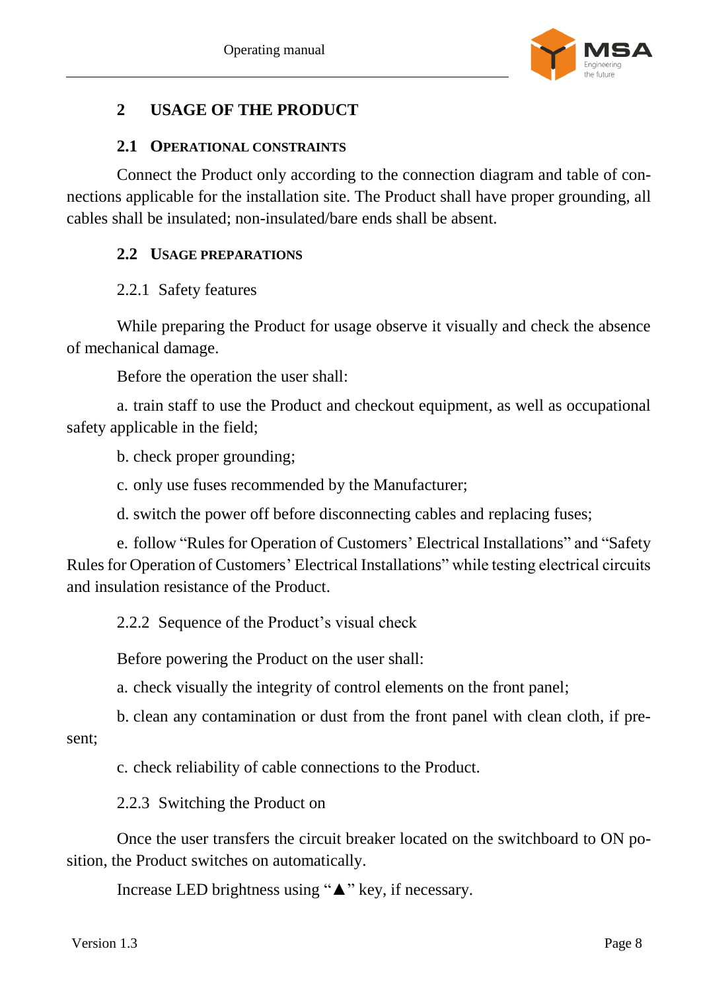

# <span id="page-7-0"></span>**2 USAGE OF THE PRODUCT**

## **2.1 OPERATIONAL CONSTRAINTS**

<span id="page-7-1"></span>Connect the Product only according to the connection diagram and table of connections applicable for the installation site. The Product shall have proper grounding, all cables shall be insulated; non-insulated/bare ends shall be absent.

### <span id="page-7-2"></span>**2.2 USAGE PREPARATIONS**

## 2.2.1 Safety features

While preparing the Product for usage observe it visually and check the absence of mechanical damage.

Before the operation the user shall:

a. train staff to use the Product and checkout equipment, as well as occupational safety applicable in the field;

b. check proper grounding;

c. only use fuses recommended by the Manufacturer;

d. switch the power off before disconnecting cables and replacing fuses;

e. follow "Rules for Operation of Customers' Electrical Installations" and "Safety Rules for Operation of Customers' Electrical Installations" while testing electrical circuits and insulation resistance of the Product.

2.2.2 Sequence of the Product's visual check

Before powering the Product on the user shall:

a. check visually the integrity of control elements on the front panel;

b. clean any contamination or dust from the front panel with clean cloth, if present;

c. check reliability of cable connections to the Product.

2.2.3 Switching the Product on

Once the user transfers the circuit breaker located on the switchboard to ON position, the Product switches on automatically.

Increase LED brightness using "▲" key, if necessary.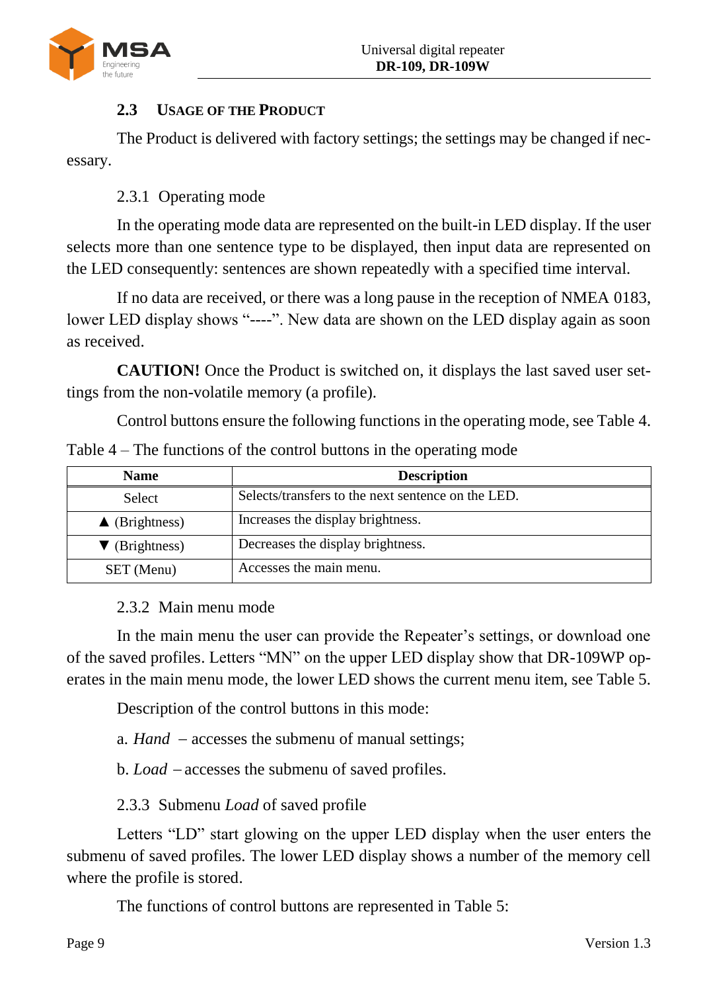

# <span id="page-8-0"></span>**2.3 USAGE OF THE PRODUCT**

The Product is delivered with factory settings; the settings may be changed if necessary.

2.3.1 Operating mode

In the operating mode data are represented on the built-in LED display. If the user selects more than one sentence type to be displayed, then input data are represented on the LED consequently: sentences are shown repeatedly with a specified time interval.

If no data are received, or there was a long pause in the reception of NMEA 0183, lower LED display shows "----". New data are shown on the LED display again as soon as received.

**CAUTION!** Once the Product is switched on, it displays the last saved user settings from the non-volatile memory (a profile).

Control buttons ensure the following functions in the operating mode, see Table [4.](#page-8-1)

| <b>Name</b>              | <b>Description</b>                                 |
|--------------------------|----------------------------------------------------|
| Select                   | Selects/transfers to the next sentence on the LED. |
| $\triangle$ (Brightness) | Increases the display brightness.                  |
| $\nabla$ (Brightness)    | Decreases the display brightness.                  |
| SET (Menu)               | Accesses the main menu.                            |

<span id="page-8-1"></span>Table 4 – The functions of the control buttons in the operating mode

# 2.3.2 Main menu mode

In the main menu the user can provide the Repeater's settings, or download one of the saved profiles. Letters "MN" on the upper LED display show that DR-109WP operates in the main menu mode, the lower LED shows the current menu item, see Table [5.](#page-9-0)

Description of the control buttons in this mode:

a.  $Hand$  – accesses the submenu of manual settings;

b. *Load* – accesses the submenu of saved profiles.

2.3.3 Submenu *Load* of saved profile

Letters "LD" start glowing on the upper LED display when the user enters the submenu of saved profiles. The lower LED display shows a number of the memory cell where the profile is stored.

The functions of control buttons are represented in Table [5:](#page-9-0)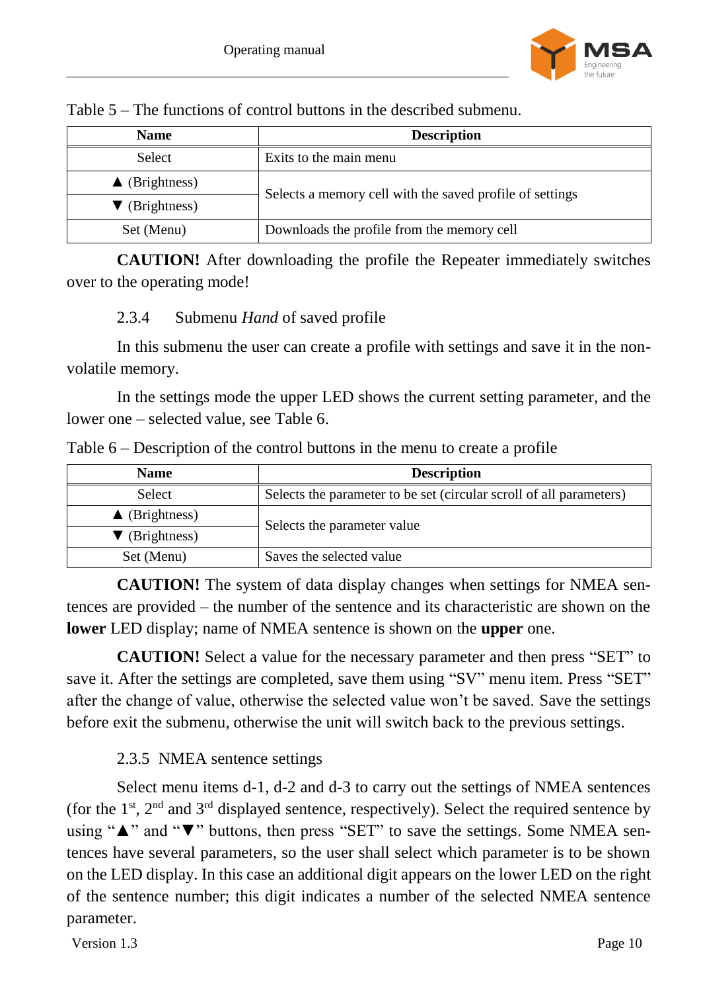

<span id="page-9-0"></span>Table 5 – The functions of control buttons in the described submenu.

| <b>Name</b>              | <b>Description</b>                                       |
|--------------------------|----------------------------------------------------------|
| Select                   | Exits to the main menu                                   |
| $\triangle$ (Brightness) | Selects a memory cell with the saved profile of settings |
| $\nabla$ (Brightness)    |                                                          |
| Set (Menu)               | Downloads the profile from the memory cell               |

**CAUTION!** After downloading the profile the Repeater immediately switches over to the operating mode!

## 2.3.4 Submenu *Hand* of saved profile

In this submenu the user can create a profile with settings and save it in the nonvolatile memory.

In the settings mode the upper LED shows the current setting parameter, and the lower one – selected value, see Table [6.](#page-9-1)

<span id="page-9-1"></span>

|  | Table $6$ – Description of the control buttons in the menu to create a profile |  |  |  |  |  |
|--|--------------------------------------------------------------------------------|--|--|--|--|--|
|--|--------------------------------------------------------------------------------|--|--|--|--|--|

| <b>Name</b>              | <b>Description</b>                                                  |
|--------------------------|---------------------------------------------------------------------|
| Select                   | Selects the parameter to be set (circular scroll of all parameters) |
| $\triangle$ (Brightness) | Selects the parameter value                                         |
| $\nabla$ (Brightness)    |                                                                     |
| Set (Menu)               | Saves the selected value                                            |

**CAUTION!** The system of data display changes when settings for NMEA sentences are provided – the number of the sentence and its characteristic are shown on the **lower** LED display; name of NMEA sentence is shown on the **upper** one.

**CAUTION!** Select a value for the necessary parameter and then press "SET" to save it. After the settings are completed, save them using "SV" menu item. Press "SET" after the change of value, otherwise the selected value won't be saved. Save the settings before exit the submenu, otherwise the unit will switch back to the previous settings.

# 2.3.5 NMEA sentence settings

Select menu items d-1, d-2 and d-3 to carry out the settings of NMEA sentences (for the  $1<sup>st</sup>$ ,  $2<sup>nd</sup>$  and  $3<sup>rd</sup>$  displayed sentence, respectively). Select the required sentence by using "▲" and "▼" buttons, then press "SET" to save the settings. Some NMEA sentences have several parameters, so the user shall select which parameter is to be shown on the LED display. In this case an additional digit appears on the lower LED on the right of the sentence number; this digit indicates a number of the selected NMEA sentence parameter.

Version 1.3 Page 10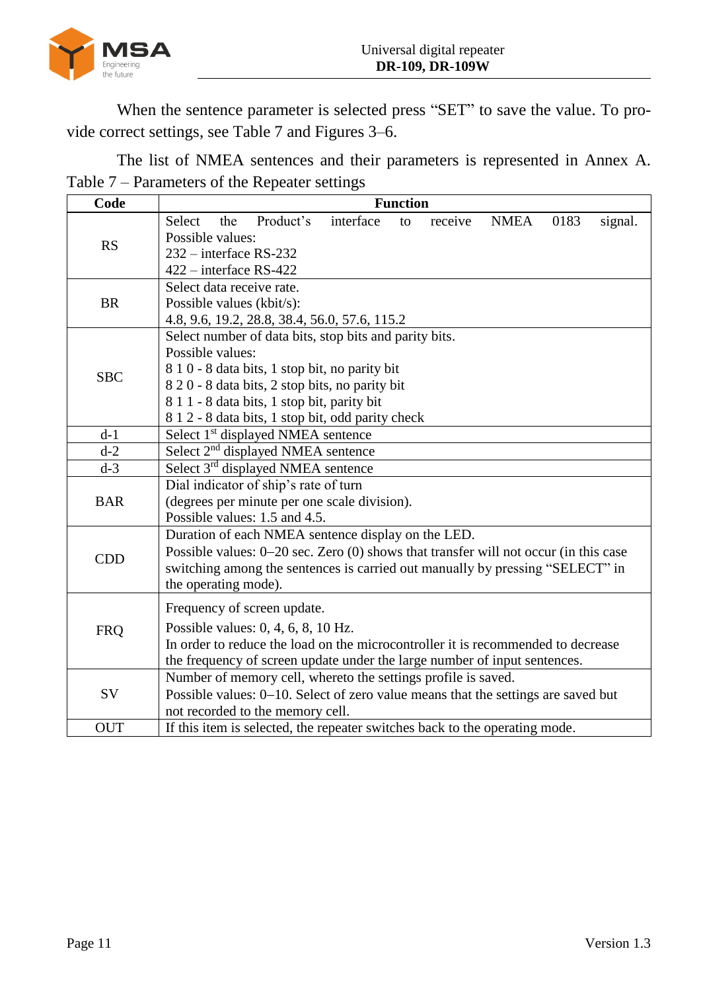

When the sentence parameter is selected press "SET" to save the value. To provide correct settings, see [Table](#page-10-0) 7 and Figures [3–](#page-11-0)[6.](#page-11-1)

<span id="page-10-0"></span>The list of NMEA sentences and their parameters is represented in Annex A. Table 7 – Parameters of the Repeater settings

| Code       | <b>Function</b>                                                                            |  |  |  |  |
|------------|--------------------------------------------------------------------------------------------|--|--|--|--|
|            | Product's<br>interface<br>Select<br><b>NMEA</b><br>0183<br>signal.<br>the<br>receive<br>to |  |  |  |  |
| <b>RS</b>  | Possible values:                                                                           |  |  |  |  |
|            | 232 – interface RS-232                                                                     |  |  |  |  |
|            | $422$ – interface RS-422                                                                   |  |  |  |  |
|            | Select data receive rate.                                                                  |  |  |  |  |
| <b>BR</b>  | Possible values (kbit/s):                                                                  |  |  |  |  |
|            | 4.8, 9.6, 19.2, 28.8, 38.4, 56.0, 57.6, 115.2                                              |  |  |  |  |
|            | Select number of data bits, stop bits and parity bits.                                     |  |  |  |  |
|            | Possible values:                                                                           |  |  |  |  |
| <b>SBC</b> | 8 1 0 - 8 data bits, 1 stop bit, no parity bit                                             |  |  |  |  |
|            | 8 2 0 - 8 data bits, 2 stop bits, no parity bit                                            |  |  |  |  |
|            | 8 1 1 - 8 data bits, 1 stop bit, parity bit                                                |  |  |  |  |
|            | 8 1 2 - 8 data bits, 1 stop bit, odd parity check                                          |  |  |  |  |
| $d-1$      | Select 1 <sup>st</sup> displayed NMEA sentence                                             |  |  |  |  |
| $d-2$      | Select 2 <sup>nd</sup> displayed NMEA sentence                                             |  |  |  |  |
| $d-3$      | Select 3 <sup>rd</sup> displayed NMEA sentence                                             |  |  |  |  |
|            | Dial indicator of ship's rate of turn                                                      |  |  |  |  |
| <b>BAR</b> | (degrees per minute per one scale division).                                               |  |  |  |  |
|            | Possible values: 1.5 and 4.5.                                                              |  |  |  |  |
|            | Duration of each NMEA sentence display on the LED.                                         |  |  |  |  |
| <b>CDD</b> | Possible values: $0-20$ sec. Zero $(0)$ shows that transfer will not occur (in this case   |  |  |  |  |
|            | switching among the sentences is carried out manually by pressing "SELECT" in              |  |  |  |  |
|            | the operating mode).                                                                       |  |  |  |  |
|            | Frequency of screen update.                                                                |  |  |  |  |
|            | Possible values: 0, 4, 6, 8, 10 Hz.                                                        |  |  |  |  |
| <b>FRQ</b> | In order to reduce the load on the microcontroller it is recommended to decrease           |  |  |  |  |
|            | the frequency of screen update under the large number of input sentences.                  |  |  |  |  |
|            | Number of memory cell, whereto the settings profile is saved.                              |  |  |  |  |
| SV         | Possible values: 0-10. Select of zero value means that the settings are saved but          |  |  |  |  |
|            | not recorded to the memory cell.                                                           |  |  |  |  |
| <b>OUT</b> | If this item is selected, the repeater switches back to the operating mode.                |  |  |  |  |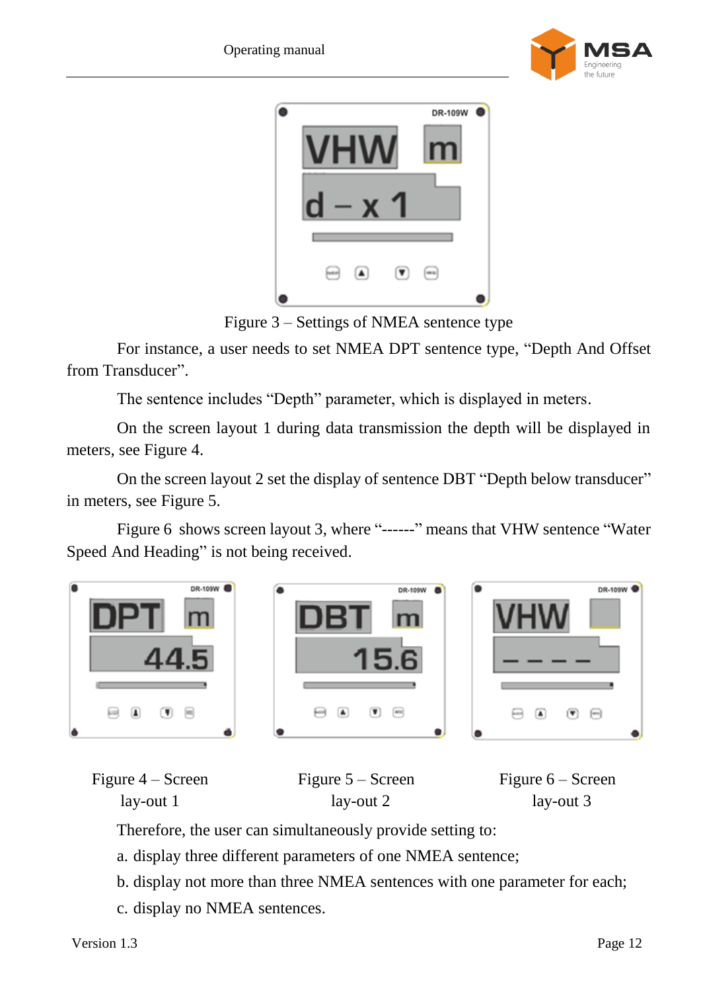



Figure 3 – Settings of NMEA sentence type

<span id="page-11-0"></span>For instance, a user needs to set NMEA DPT sentence type, "Depth And Offset from Transducer".

The sentence includes "Depth" parameter, which is displayed in meters.

On the screen layout 1 during data transmission the depth will be displayed in meters, see Figure [4.](#page-11-2)

On the screen layout 2 set the display of sentence DBT "Depth below transducer" in meters, see Figure [5.](#page-11-3)

Figure [6](#page-11-1) shows screen layout 3, where "------" means that VHW sentence "Water Speed And Heading" is not being received.



<span id="page-11-2"></span>

| Figure $4 -$ Screen | Figure $5 -$ Screen | Figure $6 -$ Screen |
|---------------------|---------------------|---------------------|
| lay-out 1           | lay-out 2           | lay-out 3           |

<span id="page-11-3"></span><span id="page-11-1"></span>Therefore, the user can simultaneously provide setting to:

a. display three different parameters of one NMEA sentence;

b. display not more than three NMEA sentences with one parameter for each;

c. display no NMEA sentences.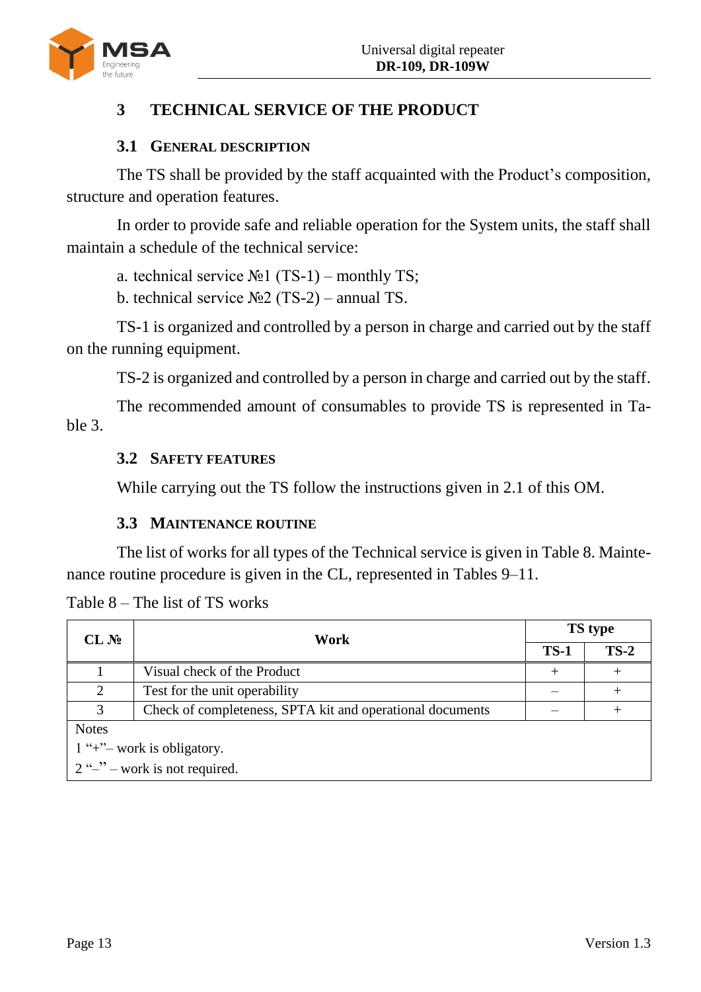

# <span id="page-12-0"></span>**3 TECHNICAL SERVICE OF THE PRODUCT**

#### **3.1 GENERAL DESCRIPTION**

<span id="page-12-1"></span>The TS shall be provided by the staff acquainted with the Product's composition, structure and operation features.

In order to provide safe and reliable operation for the System units, the staff shall maintain a schedule of the technical service:

a. technical service  $N_2$ 1 (TS-1) – monthly TS;

b. technical service  $N_2$  (TS-2) – annual TS.

TS-1 is organized and controlled by a person in charge and carried out by the staff on the running equipment.

TS-2 is organized and controlled by a person in charge and carried out by the staff.

<span id="page-12-2"></span>The recommended amount of consumables to provide TS is represented in Table [3.](#page-6-0)

#### **3.2 SAFETY FEATURES**

While carrying out the TS follow the instructions given in [2.1](#page-7-1) of this OM.

## **3.3 MAINTENANCE ROUTINE**

<span id="page-12-3"></span>The list of works for all types of the Technical service is given in Table [8.](#page-12-4) Maintenance routine procedure is given in the CL, represented in Tables [9](#page-13-0)[–11.](#page-14-1)

| CL N <sub>2</sub>               | Work                                                      |      | <b>TS</b> type |  |  |
|---------------------------------|-----------------------------------------------------------|------|----------------|--|--|
|                                 |                                                           |      | $TS-2$         |  |  |
|                                 | Visual check of the Product                               | $^+$ |                |  |  |
| 2                               | Test for the unit operability                             |      |                |  |  |
| 3                               | Check of completeness, SPTA kit and operational documents |      |                |  |  |
| <b>Notes</b>                    |                                                           |      |                |  |  |
| $1$ "+" – work is obligatory.   |                                                           |      |                |  |  |
| $2$ "-" – work is not required. |                                                           |      |                |  |  |

<span id="page-12-4"></span>Table 8 – The list of TS works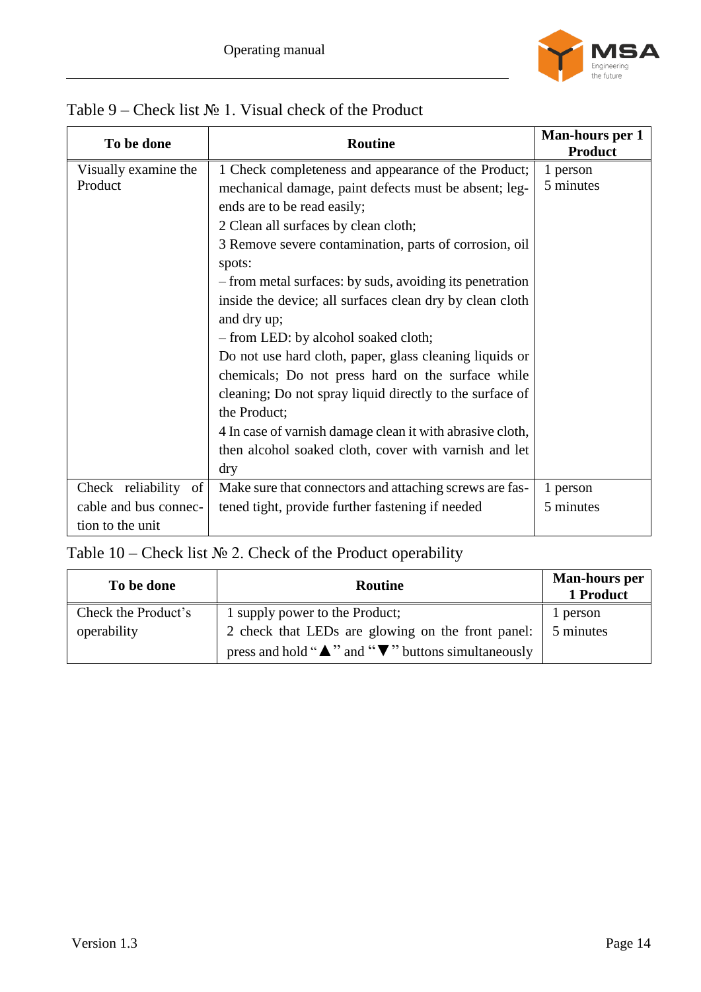

| To be done            | <b>Routine</b>                                            | Man-hours per 1<br><b>Product</b> |
|-----------------------|-----------------------------------------------------------|-----------------------------------|
| Visually examine the  | 1 Check completeness and appearance of the Product;       | 1 person                          |
| Product               | mechanical damage, paint defects must be absent; leg-     | 5 minutes                         |
|                       | ends are to be read easily;                               |                                   |
|                       | 2 Clean all surfaces by clean cloth;                      |                                   |
|                       | 3 Remove severe contamination, parts of corrosion, oil    |                                   |
|                       | spots:                                                    |                                   |
|                       | - from metal surfaces: by suds, avoiding its penetration  |                                   |
|                       | inside the device; all surfaces clean dry by clean cloth  |                                   |
|                       | and dry up;                                               |                                   |
|                       | - from LED: by alcohol soaked cloth;                      |                                   |
|                       | Do not use hard cloth, paper, glass cleaning liquids or   |                                   |
|                       | chemicals; Do not press hard on the surface while         |                                   |
|                       | cleaning; Do not spray liquid directly to the surface of  |                                   |
|                       | the Product;                                              |                                   |
|                       | 4 In case of varnish damage clean it with abrasive cloth, |                                   |
|                       | then alcohol soaked cloth, cover with varnish and let     |                                   |
|                       | dry                                                       |                                   |
| Check reliability of  | Make sure that connectors and attaching screws are fas-   | 1 person                          |
| cable and bus connec- | tened tight, provide further fastening if needed          | 5 minutes                         |
| tion to the unit      |                                                           |                                   |

## <span id="page-13-0"></span>Table 9 – Check list № 1. Visual check of the Product

# Table 10 – Check list  $N<sub>2</sub>$  2. Check of the Product operability

| To be done          | <b>Routine</b>                                                         | <b>Man-hours per</b><br>1 Product |
|---------------------|------------------------------------------------------------------------|-----------------------------------|
| Check the Product's | 1 supply power to the Product;                                         | 1 person                          |
| operability         | 2 check that LEDs are glowing on the front panel:                      | 5 minutes                         |
|                     | press and hold " $\triangle$ " and " $\nabla$ " buttons simultaneously |                                   |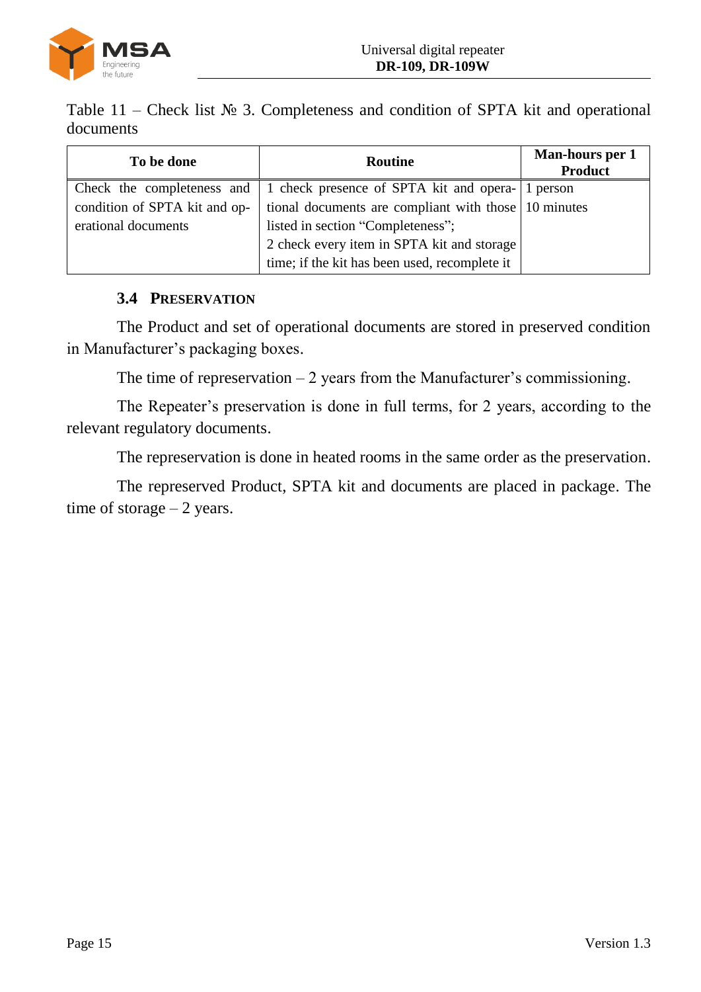

<span id="page-14-1"></span>Table 11 – Check list  $\mathcal{N}_2$  3. Completeness and condition of SPTA kit and operational documents

| To be done                    | Routine                                                                                     | Man-hours per 1<br><b>Product</b> |
|-------------------------------|---------------------------------------------------------------------------------------------|-----------------------------------|
|                               | Check the completeness and $\vert$ 1 check presence of SPTA kit and opera- $\vert$ 1 person |                                   |
| condition of SPTA kit and op- | tional documents are compliant with those 10 minutes                                        |                                   |
| erational documents           | listed in section "Completeness";                                                           |                                   |
|                               | 2 check every item in SPTA kit and storage                                                  |                                   |
|                               | time; if the kit has been used, recomplete it                                               |                                   |

## **3.4 PRESERVATION**

<span id="page-14-0"></span>The Product and set of operational documents are stored in preserved condition in Manufacturer's packaging boxes.

The time of represervation  $-2$  years from the Manufacturer's commissioning.

The Repeater's preservation is done in full terms, for 2 years, according to the relevant regulatory documents.

The represervation is done in heated rooms in the same order as the preservation.

The represerved Product, SPTA kit and documents are placed in package. The time of storage  $-2$  years.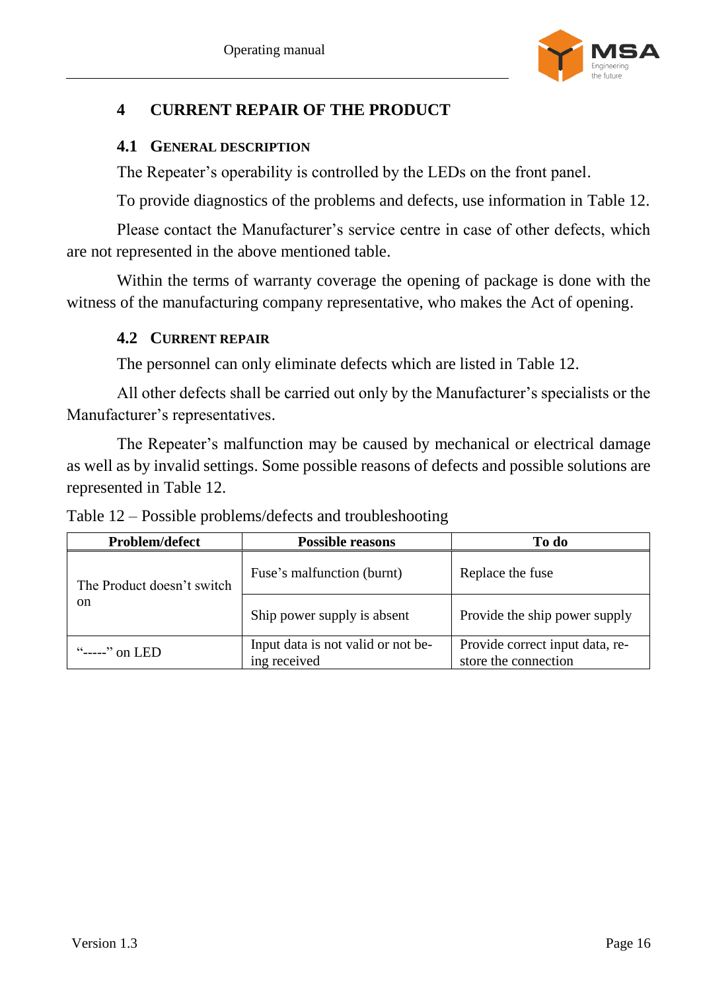

# <span id="page-15-0"></span>**4 CURRENT REPAIR OF THE PRODUCT**

#### <span id="page-15-1"></span>**4.1 GENERAL DESCRIPTION**

The Repeater's operability is controlled by the LEDs on the front panel.

To provide diagnostics of the problems and defects, use information in Table [12.](#page-15-3)

Please contact the Manufacturer's service centre in case of other defects, which are not represented in the above mentioned table.

<span id="page-15-2"></span>Within the terms of warranty coverage the opening of package is done with the witness of the manufacturing company representative, who makes the Act of opening.

## **4.2 CURRENT REPAIR**

The personnel can only eliminate defects which are listed in Table [12.](#page-15-3)

All other defects shall be carried out only by the Manufacturer's specialists or the Manufacturer's representatives.

The Repeater's malfunction may be caused by mechanical or electrical damage as well as by invalid settings. Some possible reasons of defects and possible solutions are represented in Table [12.](#page-15-3)

| Problem/defect             | <b>Possible reasons</b>                            | To do                                                   |
|----------------------------|----------------------------------------------------|---------------------------------------------------------|
| The Product doesn't switch | Fuse's malfunction (burnt)                         | Replace the fuse                                        |
| on.                        | Ship power supply is absent                        | Provide the ship power supply                           |
| " $---$ " on LED           | Input data is not valid or not be-<br>ing received | Provide correct input data, re-<br>store the connection |

<span id="page-15-3"></span>Table 12 – Possible problems/defects and troubleshooting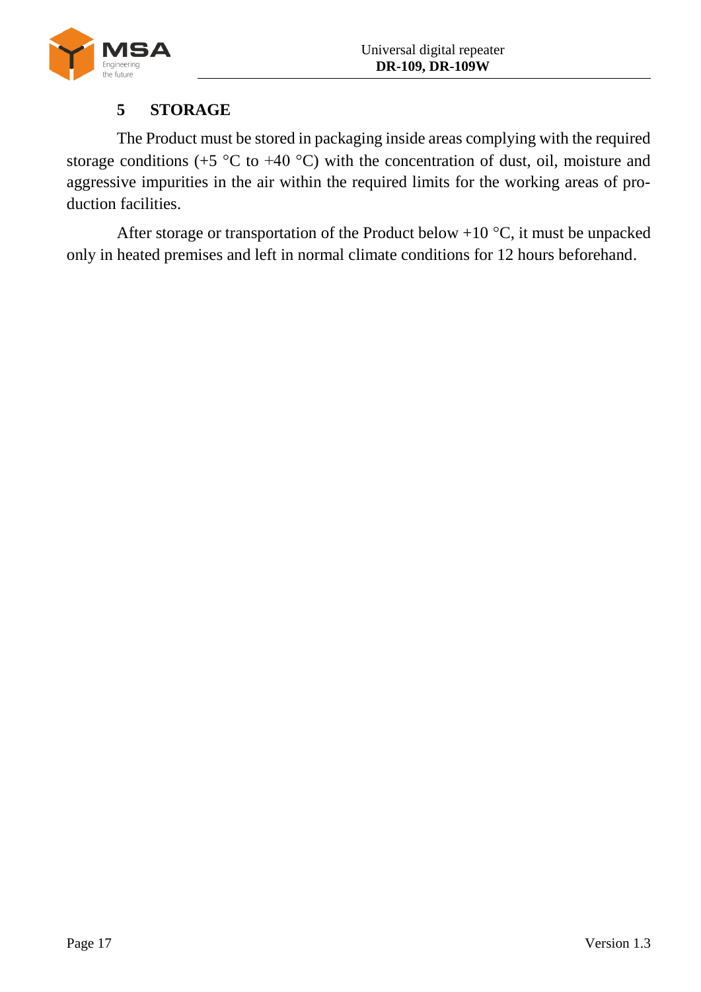

# **5 STORAGE**

<span id="page-16-0"></span>The Product must be stored in packaging inside areas complying with the required storage conditions (+5  $\degree$ C to +40  $\degree$ C) with the concentration of dust, oil, moisture and aggressive impurities in the air within the required limits for the working areas of production facilities.

After storage or transportation of the Product below  $+10\degree C$ , it must be unpacked only in heated premises and left in normal climate conditions for 12 hours beforehand.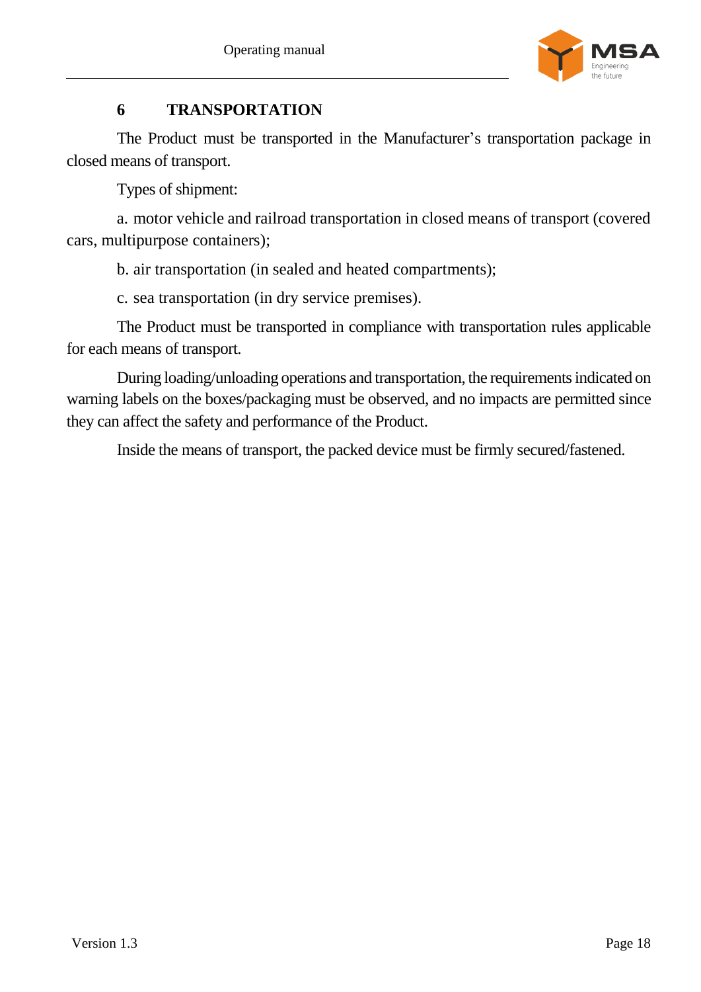

# **6 TRANSPORTATION**

<span id="page-17-0"></span>The Product must be transported in the Manufacturer's transportation package in closed means of transport.

Types of shipment:

a. motor vehicle and railroad transportation in closed means of transport (covered cars, multipurpose containers);

b. air transportation (in sealed and heated compartments);

c. sea transportation (in dry service premises).

The Product must be transported in compliance with transportation rules applicable for each means of transport.

During loading/unloading operations and transportation, the requirements indicated on warning labels on the boxes/packaging must be observed, and no impacts are permitted since they can affect the safety and performance of the Product.

Inside the means of transport, the packed device must be firmly secured/fastened.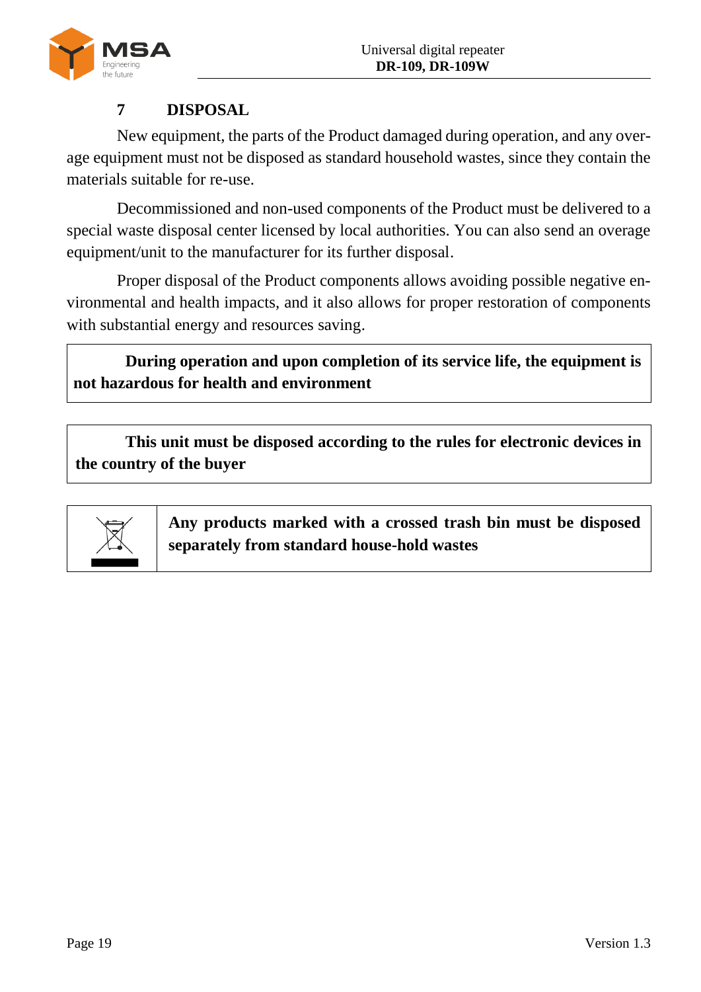

# **7 DISPOSAL**

<span id="page-18-0"></span>New equipment, the parts of the Product damaged during operation, and any overage equipment must not be disposed as standard household wastes, since they contain the materials suitable for re-use.

Decommissioned and non-used components of the Product must be delivered to a special waste disposal center licensed by local authorities. You can also send an overage equipment/unit to the manufacturer for its further disposal.

Proper disposal of the Product components allows avoiding possible negative environmental and health impacts, and it also allows for proper restoration of components with substantial energy and resources saving.

**During operation and upon completion of its service life, the equipment is not hazardous for health and environment**

**This unit must be disposed according to the rules for electronic devices in the country of the buyer**



**Any products marked with a crossed trash bin must be disposed separately from standard house-hold wastes**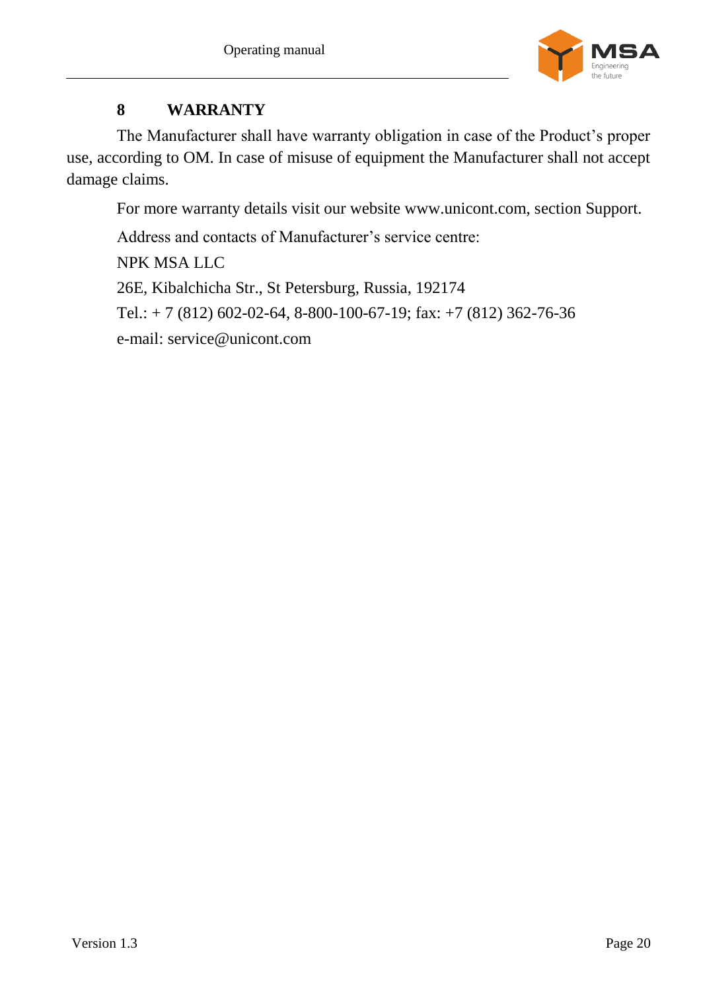

# **8 WARRANTY**

<span id="page-19-0"></span>The Manufacturer shall have warranty obligation in case of the Product's proper use, according to OM. In case of misuse of equipment the Manufacturer shall not accept damage claims.

For more warranty details visit our website [www.unicont.com,](http://www.unicont.com/) section Support.

Address and contacts of Manufacturer's service centre: NPK MSA LLC 26E, Kibalchicha Str., St Petersburg, Russia, 192174 Tel.:  $+ 7 (812) 602 - 02 - 64, 8 - 800 - 100 - 67 - 19$ ; fax:  $+ 7 (812) 362 - 76 - 36$ e-mail: [service@unicont.com](mailto:service@unicont.com)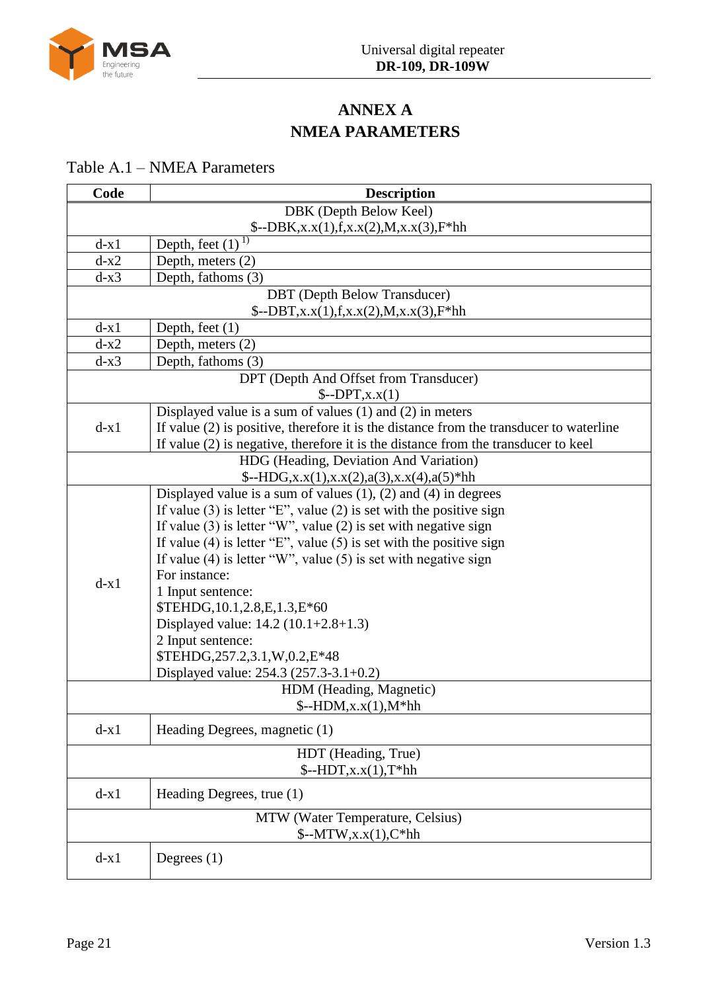

# **ANNEX A NMEA PARAMETERS**

## <span id="page-20-0"></span>Table А.1 – NMEA Parameters

| Code   | <b>Description</b>                                                                                                                     |
|--------|----------------------------------------------------------------------------------------------------------------------------------------|
|        | DBK (Depth Below Keel)                                                                                                                 |
|        | $\{-DBK, x.x(1), f, x.x(2), M, x.x(3), F^*hh\}$                                                                                        |
| $d-x1$ | Depth, feet $(1)^{\overline{1}}$                                                                                                       |
| $d-x2$ | Depth, meters (2)                                                                                                                      |
| $d-x3$ | Depth, fathoms (3)                                                                                                                     |
|        | <b>DBT</b> (Depth Below Transducer)                                                                                                    |
|        | $\{-DBT, x.x(1), f, x.x(2), M, x.x(3), F^*hh\}$                                                                                        |
| $d-x1$ | Depth, feet $(1)$                                                                                                                      |
| $d-x2$ | Depth, meters (2)                                                                                                                      |
| $d-x3$ | Depth, fathoms (3)                                                                                                                     |
|        | DPT (Depth And Offset from Transducer)                                                                                                 |
|        | $\mathcal{S}$ --DPT,x.x(1)                                                                                                             |
|        | Displayed value is a sum of values $(1)$ and $(2)$ in meters                                                                           |
| $d-x1$ | If value $(2)$ is positive, therefore it is the distance from the transducer to waterline                                              |
|        | If value (2) is negative, therefore it is the distance from the transducer to keel                                                     |
|        | HDG (Heading, Deviation And Variation)                                                                                                 |
|        | $\[-\text{HDG}, x.x(1), x.x(2), a(3), x.x(4), a(5) \]$ hh                                                                              |
|        | Displayed value is a sum of values $(1)$ , $(2)$ and $(4)$ in degrees                                                                  |
|        | If value (3) is letter "E", value (2) is set with the positive sign                                                                    |
|        | If value $(3)$ is letter "W", value $(2)$ is set with negative sign                                                                    |
|        | If value (4) is letter "E", value (5) is set with the positive sign<br>If value (4) is letter "W", value (5) is set with negative sign |
|        | For instance:                                                                                                                          |
| $d-x1$ |                                                                                                                                        |
|        | 1 Input sentence:<br>\$TEHDG, 10.1, 2.8, E, 1.3, E*60                                                                                  |
|        | Displayed value: $14.2 (10.1 + 2.8 + 1.3)$                                                                                             |
|        | 2 Input sentence:                                                                                                                      |
|        | \$TEHDG, 257.2, 3.1, W, 0.2, E*48                                                                                                      |
|        | Displayed value: 254.3 (257.3-3.1+0.2)                                                                                                 |
|        | HDM (Heading, Magnetic)                                                                                                                |
|        | $\{-HDM, x.x(1), M^*hh\}$                                                                                                              |
|        |                                                                                                                                        |
| $d-x1$ | Heading Degrees, magnetic (1)                                                                                                          |
|        | HDT (Heading, True)                                                                                                                    |
|        | $\text{\$--HDT,x.x(1),}$ T*hh                                                                                                          |
| $d-x1$ | Heading Degrees, true (1)                                                                                                              |
|        | MTW (Water Temperature, Celsius)                                                                                                       |
|        | $\text{\$--MTW,x.x(1),}C^*hh$                                                                                                          |
| $d-x1$ | Degrees $(1)$                                                                                                                          |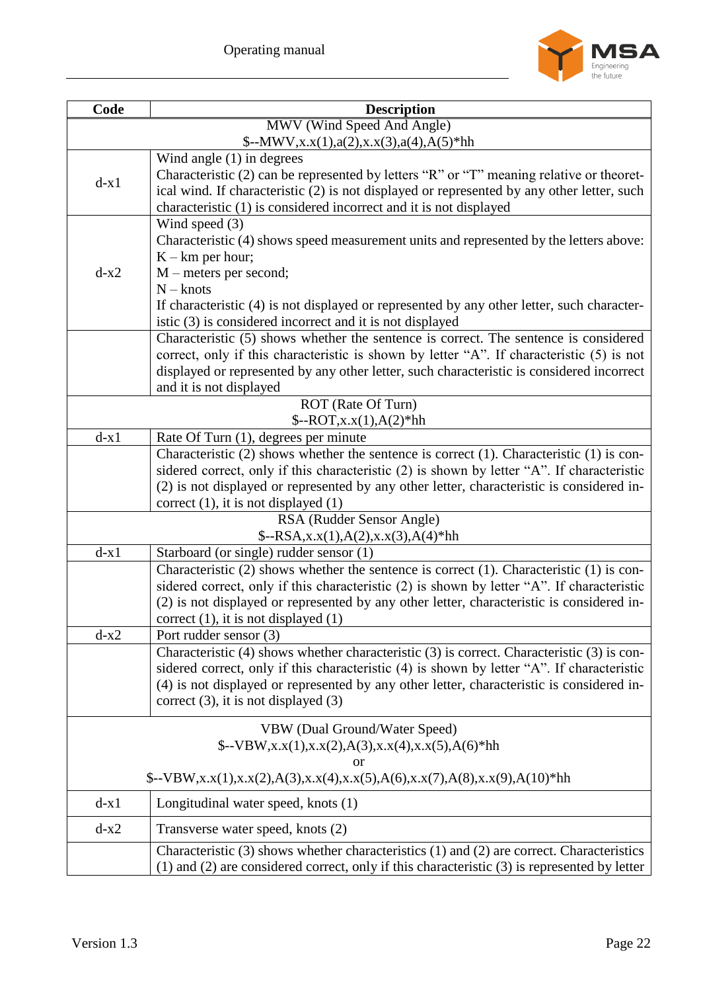

| Code   | <b>Description</b>                                                                                                                                                                            |  |
|--------|-----------------------------------------------------------------------------------------------------------------------------------------------------------------------------------------------|--|
|        | MWV (Wind Speed And Angle)                                                                                                                                                                    |  |
|        | $-\text{MWV}, x.x(1), a(2), x.x(3), a(4), A(5)$ hh                                                                                                                                            |  |
|        | Wind angle $(1)$ in degrees                                                                                                                                                                   |  |
| $d-x1$ | Characteristic (2) can be represented by letters "R" or "T" meaning relative or theoret-                                                                                                      |  |
|        | ical wind. If characteristic (2) is not displayed or represented by any other letter, such                                                                                                    |  |
|        | characteristic (1) is considered incorrect and it is not displayed<br>Wind speed $(3)$                                                                                                        |  |
|        | Characteristic (4) shows speed measurement units and represented by the letters above:                                                                                                        |  |
|        | $K - km$ per hour;                                                                                                                                                                            |  |
| $d-x2$ | $M$ – meters per second;                                                                                                                                                                      |  |
|        | $N -$ knots                                                                                                                                                                                   |  |
|        | If characteristic (4) is not displayed or represented by any other letter, such character-                                                                                                    |  |
|        | istic (3) is considered incorrect and it is not displayed                                                                                                                                     |  |
|        | Characteristic (5) shows whether the sentence is correct. The sentence is considered                                                                                                          |  |
|        | correct, only if this characteristic is shown by letter "A". If characteristic (5) is not                                                                                                     |  |
|        | displayed or represented by any other letter, such characteristic is considered incorrect                                                                                                     |  |
|        | and it is not displayed                                                                                                                                                                       |  |
|        | ROT (Rate Of Turn)                                                                                                                                                                            |  |
|        | $\text{\$--ROT,x.x(1),A(2)*hh}$                                                                                                                                                               |  |
| $d-x1$ | Rate Of Turn (1), degrees per minute                                                                                                                                                          |  |
|        | Characteristic $(2)$ shows whether the sentence is correct $(1)$ . Characteristic $(1)$ is con-<br>sidered correct, only if this characteristic (2) is shown by letter "A". If characteristic |  |
|        | (2) is not displayed or represented by any other letter, characteristic is considered in-                                                                                                     |  |
|        | correct $(1)$ , it is not displayed $(1)$                                                                                                                                                     |  |
|        | RSA (Rudder Sensor Angle)                                                                                                                                                                     |  |
|        | $\{-RSA, x.x(1), A(2), x.x(3), A(4)*hh\}$                                                                                                                                                     |  |
| $d-x1$ | Starboard (or single) rudder sensor (1)                                                                                                                                                       |  |
|        | Characteristic $(2)$ shows whether the sentence is correct $(1)$ . Characteristic $(1)$ is con-                                                                                               |  |
|        | sidered correct, only if this characteristic (2) is shown by letter "A". If characteristic                                                                                                    |  |
|        | (2) is not displayed or represented by any other letter, characteristic is considered in-                                                                                                     |  |
|        | correct $(1)$ , it is not displayed $(1)$                                                                                                                                                     |  |
| $d-x2$ | Port rudder sensor (3)                                                                                                                                                                        |  |
|        | Characteristic (4) shows whether characteristic (3) is correct. Characteristic (3) is con-                                                                                                    |  |
|        | sidered correct, only if this characteristic (4) is shown by letter "A". If characteristic<br>(4) is not displayed or represented by any other letter, characteristic is considered in-       |  |
|        | correct $(3)$ , it is not displayed $(3)$                                                                                                                                                     |  |
|        |                                                                                                                                                                                               |  |
|        | VBW (Dual Ground/Water Speed)                                                                                                                                                                 |  |
|        | $\{-VBW, x.x(1), x.x(2), A(3), x.x(4), x.x(5), A(6)\}$ hh                                                                                                                                     |  |
|        | or                                                                                                                                                                                            |  |
|        | $\[-V\text{BW},x.x(1),x.x(2),A(3),x.x(4),x.x(5),A(6),x.x(7),A(8),x.x(9),A(10)\]$ hh                                                                                                           |  |
| $d-x1$ | Longitudinal water speed, knots (1)                                                                                                                                                           |  |
| $d-x2$ | Transverse water speed, knots (2)                                                                                                                                                             |  |
|        | Characteristic (3) shows whether characteristics (1) and (2) are correct. Characteristics                                                                                                     |  |
|        | $(1)$ and $(2)$ are considered correct, only if this characteristic $(3)$ is represented by letter                                                                                            |  |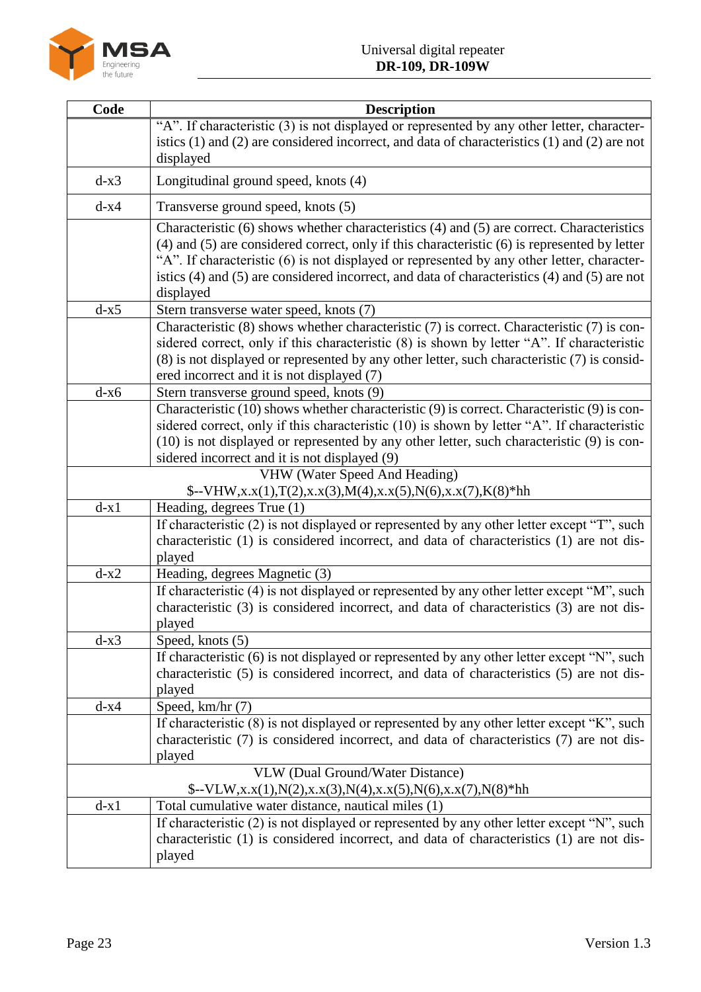

| Code   | <b>Description</b>                                                                                                                                                                               |
|--------|--------------------------------------------------------------------------------------------------------------------------------------------------------------------------------------------------|
|        | "A". If characteristic (3) is not displayed or represented by any other letter, character-                                                                                                       |
|        | istics $(1)$ and $(2)$ are considered incorrect, and data of characteristics $(1)$ and $(2)$ are not                                                                                             |
|        | displayed                                                                                                                                                                                        |
| $d-x3$ | Longitudinal ground speed, knots (4)                                                                                                                                                             |
| $d-x4$ | Transverse ground speed, knots (5)                                                                                                                                                               |
|        | Characteristic (6) shows whether characteristics (4) and (5) are correct. Characteristics                                                                                                        |
|        | $(4)$ and $(5)$ are considered correct, only if this characteristic $(6)$ is represented by letter<br>"A". If characteristic (6) is not displayed or represented by any other letter, character- |
|        | istics (4) and (5) are considered incorrect, and data of characteristics (4) and (5) are not                                                                                                     |
|        | displayed                                                                                                                                                                                        |
| $d-x5$ | Stern transverse water speed, knots (7)                                                                                                                                                          |
|        | Characteristic (8) shows whether characteristic (7) is correct. Characteristic (7) is con-                                                                                                       |
|        | sidered correct, only if this characteristic (8) is shown by letter "A". If characteristic                                                                                                       |
|        | (8) is not displayed or represented by any other letter, such characteristic (7) is consid-                                                                                                      |
|        | ered incorrect and it is not displayed (7)                                                                                                                                                       |
| $d-x6$ | Stern transverse ground speed, knots (9)                                                                                                                                                         |
|        | Characteristic (10) shows whether characteristic (9) is correct. Characteristic (9) is con-                                                                                                      |
|        | sidered correct, only if this characteristic (10) is shown by letter "A". If characteristic                                                                                                      |
|        | (10) is not displayed or represented by any other letter, such characteristic (9) is con-                                                                                                        |
|        | sidered incorrect and it is not displayed (9)<br><b>VHW</b> (Water Speed And Heading)                                                                                                            |
|        | $\[-VHW, x.x(1), T(2), x.x(3), M(4), x.x(5), N(6), x.x(7), K(8) *hh\]$                                                                                                                           |
| $d-x1$ | Heading, degrees True (1)                                                                                                                                                                        |
|        | If characteristic (2) is not displayed or represented by any other letter except "T", such                                                                                                       |
|        | characteristic (1) is considered incorrect, and data of characteristics (1) are not dis-                                                                                                         |
|        | played                                                                                                                                                                                           |
| $d-x2$ | Heading, degrees Magnetic (3)                                                                                                                                                                    |
|        | If characteristic (4) is not displayed or represented by any other letter except "M", such                                                                                                       |
|        | characteristic (3) is considered incorrect, and data of characteristics (3) are not dis-                                                                                                         |
|        | played                                                                                                                                                                                           |
| $d-x3$ | Speed, knots (5)                                                                                                                                                                                 |
|        | If characteristic (6) is not displayed or represented by any other letter except "N", such<br>characteristic (5) is considered incorrect, and data of characteristics (5) are not dis-           |
|        | played                                                                                                                                                                                           |
| $d-x4$ | Speed, km/hr (7)                                                                                                                                                                                 |
|        | If characteristic (8) is not displayed or represented by any other letter except "K", such                                                                                                       |
|        | characteristic (7) is considered incorrect, and data of characteristics (7) are not dis-                                                                                                         |
|        | played                                                                                                                                                                                           |
|        | <b>VLW</b> (Dual Ground/Water Distance)                                                                                                                                                          |
|        | $-\text{VLW}, x.x(1), N(2), x.x(3), N(4), x.x(5), N(6), x.x(7), N(8)*hh$                                                                                                                         |
| $d-x1$ | Total cumulative water distance, nautical miles (1)                                                                                                                                              |
|        | If characteristic (2) is not displayed or represented by any other letter except "N", such                                                                                                       |
|        | characteristic (1) is considered incorrect, and data of characteristics (1) are not dis-                                                                                                         |
|        | played                                                                                                                                                                                           |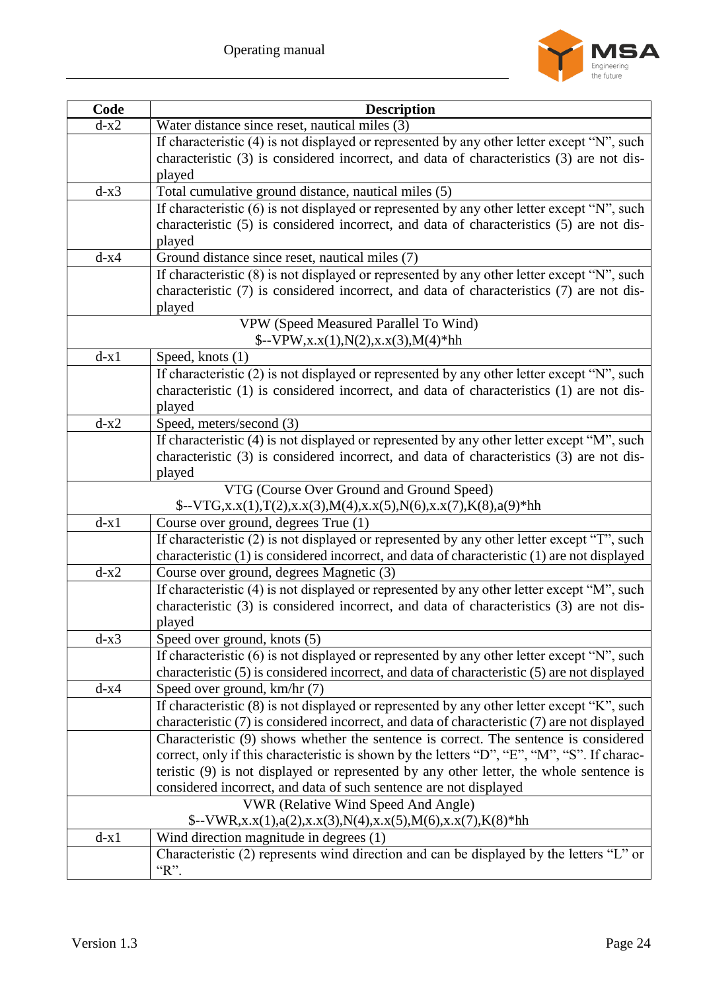

| Code   | <b>Description</b>                                                                                                                                                                   |
|--------|--------------------------------------------------------------------------------------------------------------------------------------------------------------------------------------|
| $d-x2$ | Water distance since reset, nautical miles (3)                                                                                                                                       |
|        | If characteristic (4) is not displayed or represented by any other letter except "N", such                                                                                           |
|        | characteristic (3) is considered incorrect, and data of characteristics (3) are not dis-                                                                                             |
|        | played                                                                                                                                                                               |
| $d-x3$ | Total cumulative ground distance, nautical miles (5)                                                                                                                                 |
|        | If characteristic $(6)$ is not displayed or represented by any other letter except "N", such                                                                                         |
|        | characteristic (5) is considered incorrect, and data of characteristics (5) are not dis-                                                                                             |
|        | played                                                                                                                                                                               |
| $d-x4$ | Ground distance since reset, nautical miles (7)                                                                                                                                      |
|        | If characteristic (8) is not displayed or represented by any other letter except "N", such                                                                                           |
|        | characteristic (7) is considered incorrect, and data of characteristics (7) are not dis-                                                                                             |
|        | played                                                                                                                                                                               |
|        | VPW (Speed Measured Parallel To Wind)                                                                                                                                                |
|        | $\{-VPW, x.x(1), N(2), x.x(3), M(4)*hh\}$                                                                                                                                            |
| $d-x1$ | Speed, knots (1)                                                                                                                                                                     |
|        | If characteristic (2) is not displayed or represented by any other letter except "N", such                                                                                           |
|        | characteristic (1) is considered incorrect, and data of characteristics (1) are not dis-                                                                                             |
|        | played                                                                                                                                                                               |
| $d-x2$ | Speed, meters/second (3)                                                                                                                                                             |
|        | If characteristic (4) is not displayed or represented by any other letter except "M", such                                                                                           |
|        | characteristic (3) is considered incorrect, and data of characteristics (3) are not dis-                                                                                             |
|        | played                                                                                                                                                                               |
|        | VTG (Course Over Ground and Ground Speed)                                                                                                                                            |
|        | $\{-VTG, x.x(1), T(2), x.x(3), M(4), x.x(5), N(6), x.x(7), K(8), a(9)\}$ hh                                                                                                          |
| $d-x1$ | Course over ground, degrees True (1)                                                                                                                                                 |
|        | If characteristic (2) is not displayed or represented by any other letter except "T", such                                                                                           |
|        | characteristic (1) is considered incorrect, and data of characteristic (1) are not displayed                                                                                         |
| $d-x2$ | Course over ground, degrees Magnetic (3)                                                                                                                                             |
|        | If characteristic (4) is not displayed or represented by any other letter except "M", such                                                                                           |
|        | characteristic (3) is considered incorrect, and data of characteristics (3) are not dis-                                                                                             |
|        | played                                                                                                                                                                               |
| $d-x3$ | Speed over ground, knots (5)                                                                                                                                                         |
|        | If characteristic (6) is not displayed or represented by any other letter except "N", such                                                                                           |
|        | characteristic (5) is considered incorrect, and data of characteristic (5) are not displayed                                                                                         |
| $d-x4$ | Speed over ground, km/hr (7)                                                                                                                                                         |
|        | If characteristic (8) is not displayed or represented by any other letter except "K", such                                                                                           |
|        | characteristic (7) is considered incorrect, and data of characteristic (7) are not displayed<br>Characteristic (9) shows whether the sentence is correct. The sentence is considered |
|        | correct, only if this characteristic is shown by the letters "D", "E", "M", "S". If charac-                                                                                          |
|        | teristic (9) is not displayed or represented by any other letter, the whole sentence is                                                                                              |
|        | considered incorrect, and data of such sentence are not displayed                                                                                                                    |
|        | <b>VWR</b> (Relative Wind Speed And Angle)                                                                                                                                           |
|        |                                                                                                                                                                                      |
| $d-x1$ | $\{-VWR, x.x(1), a(2), x.x(3), N(4), x.x(5), M(6), x.x(7), K(8) *hh\}$                                                                                                               |
|        | Wind direction magnitude in degrees (1)<br>Characteristic (2) represents wind direction and can be displayed by the letters "L" or                                                   |
|        | " $R$ ".                                                                                                                                                                             |
|        |                                                                                                                                                                                      |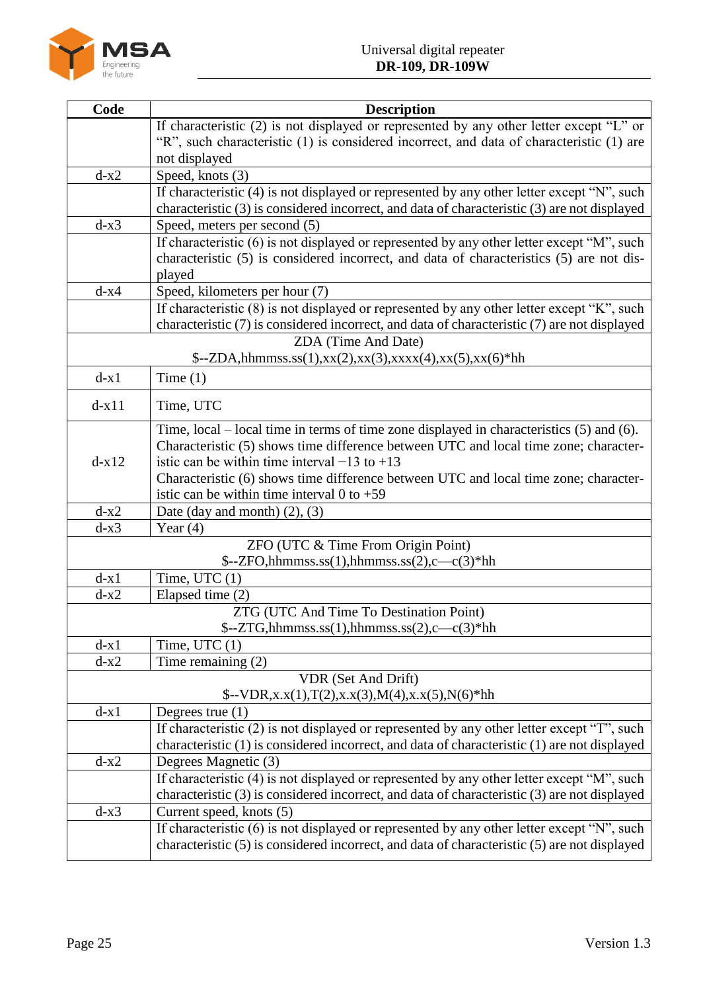

| Code    | <b>Description</b>                                                                                                                                                                         |
|---------|--------------------------------------------------------------------------------------------------------------------------------------------------------------------------------------------|
|         | If characteristic (2) is not displayed or represented by any other letter except "L" or                                                                                                    |
|         | "R", such characteristic (1) is considered incorrect, and data of characteristic (1) are                                                                                                   |
|         | not displayed                                                                                                                                                                              |
| $d-x2$  | Speed, knots (3)                                                                                                                                                                           |
|         | If characteristic (4) is not displayed or represented by any other letter except "N", such<br>characteristic (3) is considered incorrect, and data of characteristic (3) are not displayed |
| $d-x3$  | Speed, meters per second (5)                                                                                                                                                               |
|         | If characteristic (6) is not displayed or represented by any other letter except "M", such                                                                                                 |
|         | characteristic (5) is considered incorrect, and data of characteristics (5) are not dis-                                                                                                   |
|         | played                                                                                                                                                                                     |
| $d-x4$  | Speed, kilometers per hour (7)                                                                                                                                                             |
|         | If characteristic (8) is not displayed or represented by any other letter except "K", such                                                                                                 |
|         | characteristic (7) is considered incorrect, and data of characteristic (7) are not displayed                                                                                               |
|         | ZDA (Time And Date)                                                                                                                                                                        |
|         | $\[-\Sigma DA, \text{hhmmss}$ .ss(1),xx(2),xx(3),xxxx(4),xx(5),xx(6)*hh                                                                                                                    |
| $d-x1$  | Time $(1)$                                                                                                                                                                                 |
| $d-x11$ | Time, UTC                                                                                                                                                                                  |
|         | Time, local – local time in terms of time zone displayed in characteristics (5) and (6).                                                                                                   |
|         | Characteristic (5) shows time difference between UTC and local time zone; character-                                                                                                       |
| $d-x12$ | istic can be within time interval $-13$ to $+13$                                                                                                                                           |
|         | Characteristic (6) shows time difference between UTC and local time zone; character-                                                                                                       |
|         | istic can be within time interval 0 to $+59$                                                                                                                                               |
| $d-x2$  | Date (day and month) $(2)$ , $(3)$                                                                                                                                                         |
| $d-x3$  | Year $(4)$                                                                                                                                                                                 |
|         | ZFO (UTC & Time From Origin Point)<br>$\text{\$--ZFO,hhmmss.s}(1),\text{hhmmss.s}(2),\text{--c}(3)*\text{hh}$                                                                              |
| $d-x1$  | Time, UTC $(1)$                                                                                                                                                                            |
| $d-x2$  | Elapsed time (2)                                                                                                                                                                           |
|         | ZTG (UTC And Time To Destination Point)                                                                                                                                                    |
|         | $\text{\$--ZTG,hhmmss.s}(1),\text{hhmmss.s}(2),\text{--c}(3)*\text{hh}$                                                                                                                    |
| $d-x1$  | Time, UTC $(1)$                                                                                                                                                                            |
| $d-x2$  | Time remaining $(2)$                                                                                                                                                                       |
|         | VDR (Set And Drift)                                                                                                                                                                        |
|         | $\{-VDR, x.x(1), T(2), x.x(3), M(4), x.x(5), N(6)\}$ hh                                                                                                                                    |
| $d-x1$  | Degrees true $(1)$                                                                                                                                                                         |
|         | If characteristic (2) is not displayed or represented by any other letter except "T", such                                                                                                 |
|         | characteristic (1) is considered incorrect, and data of characteristic (1) are not displayed                                                                                               |
| $d-x2$  | Degrees Magnetic (3)                                                                                                                                                                       |
|         | If characteristic (4) is not displayed or represented by any other letter except "M", such                                                                                                 |
| $d-x3$  | characteristic (3) is considered incorrect, and data of characteristic (3) are not displayed<br>Current speed, knots (5)                                                                   |
|         | If characteristic (6) is not displayed or represented by any other letter except "N", such                                                                                                 |
|         | characteristic (5) is considered incorrect, and data of characteristic (5) are not displayed                                                                                               |
|         |                                                                                                                                                                                            |